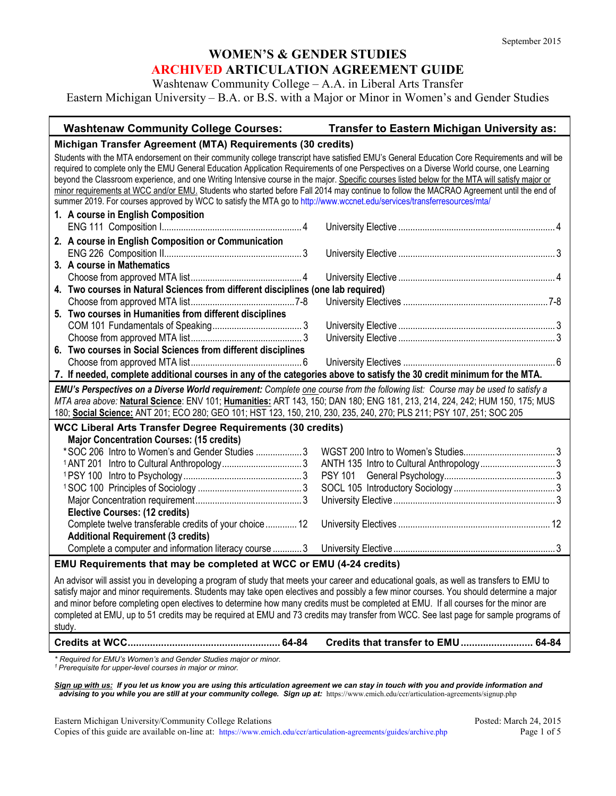Washtenaw Community College – A.A. in Liberal Arts Transfer

Eastern Michigan University – B.A. or B.S. with a Major or Minor in Women's and Gender Studies

| <b>Washtenaw Community College Courses:</b>                                                                                                                                                                                                                                                                                                                                                                                                                                                                                                                                                                                                                                                                        | Transfer to Eastern Michigan University as: |  |
|--------------------------------------------------------------------------------------------------------------------------------------------------------------------------------------------------------------------------------------------------------------------------------------------------------------------------------------------------------------------------------------------------------------------------------------------------------------------------------------------------------------------------------------------------------------------------------------------------------------------------------------------------------------------------------------------------------------------|---------------------------------------------|--|
| Michigan Transfer Agreement (MTA) Requirements (30 credits)                                                                                                                                                                                                                                                                                                                                                                                                                                                                                                                                                                                                                                                        |                                             |  |
| Students with the MTA endorsement on their community college transcript have satisfied EMU's General Education Core Requirements and will be<br>required to complete only the EMU General Education Application Requirements of one Perspectives on a Diverse World course, one Learning<br>beyond the Classroom experience, and one Writing Intensive course in the major. Specific courses listed below for the MTA will satisfy major or<br>minor requirements at WCC and/or EMU. Students who started before Fall 2014 may continue to follow the MACRAO Agreement until the end of<br>summer 2019. For courses approved by WCC to satisfy the MTA go to http://www.wccnet.edu/services/transferresources/mta/ |                                             |  |
| 1. A course in English Composition                                                                                                                                                                                                                                                                                                                                                                                                                                                                                                                                                                                                                                                                                 |                                             |  |
|                                                                                                                                                                                                                                                                                                                                                                                                                                                                                                                                                                                                                                                                                                                    |                                             |  |
| 2. A course in English Composition or Communication                                                                                                                                                                                                                                                                                                                                                                                                                                                                                                                                                                                                                                                                |                                             |  |
|                                                                                                                                                                                                                                                                                                                                                                                                                                                                                                                                                                                                                                                                                                                    |                                             |  |
| 3. A course in Mathematics                                                                                                                                                                                                                                                                                                                                                                                                                                                                                                                                                                                                                                                                                         |                                             |  |
|                                                                                                                                                                                                                                                                                                                                                                                                                                                                                                                                                                                                                                                                                                                    |                                             |  |
| 4. Two courses in Natural Sciences from different disciplines (one lab required)                                                                                                                                                                                                                                                                                                                                                                                                                                                                                                                                                                                                                                   |                                             |  |
|                                                                                                                                                                                                                                                                                                                                                                                                                                                                                                                                                                                                                                                                                                                    |                                             |  |
| 5. Two courses in Humanities from different disciplines                                                                                                                                                                                                                                                                                                                                                                                                                                                                                                                                                                                                                                                            |                                             |  |
|                                                                                                                                                                                                                                                                                                                                                                                                                                                                                                                                                                                                                                                                                                                    |                                             |  |
|                                                                                                                                                                                                                                                                                                                                                                                                                                                                                                                                                                                                                                                                                                                    |                                             |  |
| 6. Two courses in Social Sciences from different disciplines                                                                                                                                                                                                                                                                                                                                                                                                                                                                                                                                                                                                                                                       |                                             |  |
|                                                                                                                                                                                                                                                                                                                                                                                                                                                                                                                                                                                                                                                                                                                    |                                             |  |
| 7. If needed, complete additional courses in any of the categories above to satisfy the 30 credit minimum for the MTA.                                                                                                                                                                                                                                                                                                                                                                                                                                                                                                                                                                                             |                                             |  |
|                                                                                                                                                                                                                                                                                                                                                                                                                                                                                                                                                                                                                                                                                                                    |                                             |  |
| EMU's Perspectives on a Diverse World requirement: Complete one course from the following list: Course may be used to satisfy a<br>MTA area above: Natural Science: ENV 101; Humanities: ART 143, 150; DAN 180; ENG 181, 213, 214, 224, 242; HUM 150, 175; MUS<br>180; Social Science: ANT 201; ECO 280; GEO 101; HST 123, 150, 210, 230, 235, 240, 270; PLS 211; PSY 107, 251; SOC 205                                                                                                                                                                                                                                                                                                                            |                                             |  |
|                                                                                                                                                                                                                                                                                                                                                                                                                                                                                                                                                                                                                                                                                                                    |                                             |  |
| <b>WCC Liberal Arts Transfer Degree Requirements (30 credits)</b>                                                                                                                                                                                                                                                                                                                                                                                                                                                                                                                                                                                                                                                  |                                             |  |
| <b>Major Concentration Courses: (15 credits)</b><br>*SOC 206 Intro to Women's and Gender Studies  3                                                                                                                                                                                                                                                                                                                                                                                                                                                                                                                                                                                                                |                                             |  |
|                                                                                                                                                                                                                                                                                                                                                                                                                                                                                                                                                                                                                                                                                                                    |                                             |  |
|                                                                                                                                                                                                                                                                                                                                                                                                                                                                                                                                                                                                                                                                                                                    |                                             |  |
|                                                                                                                                                                                                                                                                                                                                                                                                                                                                                                                                                                                                                                                                                                                    |                                             |  |
|                                                                                                                                                                                                                                                                                                                                                                                                                                                                                                                                                                                                                                                                                                                    |                                             |  |
| <b>Elective Courses: (12 credits)</b>                                                                                                                                                                                                                                                                                                                                                                                                                                                                                                                                                                                                                                                                              |                                             |  |
| Complete twelve transferable credits of your choice  12                                                                                                                                                                                                                                                                                                                                                                                                                                                                                                                                                                                                                                                            |                                             |  |
| <b>Additional Requirement (3 credits)</b>                                                                                                                                                                                                                                                                                                                                                                                                                                                                                                                                                                                                                                                                          |                                             |  |
|                                                                                                                                                                                                                                                                                                                                                                                                                                                                                                                                                                                                                                                                                                                    |                                             |  |
| EMU Requirements that may be completed at WCC or EMU (4-24 credits)                                                                                                                                                                                                                                                                                                                                                                                                                                                                                                                                                                                                                                                |                                             |  |
| An advisor will assist you in developing a program of study that meets your career and educational goals, as well as transfers to EMU to<br>satisfy major and minor requirements. Students may take open electives and possibly a few minor courses. You should determine a major<br>and minor before completing open electives to determine how many credits must be completed at EMU. If all courses for the minor are<br>completed at EMU, up to 51 credits may be required at EMU and 73 credits may transfer from WCC. See last page for sample programs of<br>study.                                                                                                                                         |                                             |  |

*\* Required for EMU's Women's and Gender Studies major or minor.*

*<sup>1</sup> Prerequisite for upper-level courses in major or minor.*

*Sign up with us: If you let us know you are using this articulation agreement we can stay in touch with you and provide information and*  advising to you while you are still at your community college. Sign up at: https://www.emich.edu/ccr/articulation-agreements/signup.php

Eastern Michigan University/Community College Relations Posted: March 24, 2015 Copies of this guide are available on-line at:<https://www.emich.edu/ccr/articulation-agreements/guides/archive.php> Page 1 of 5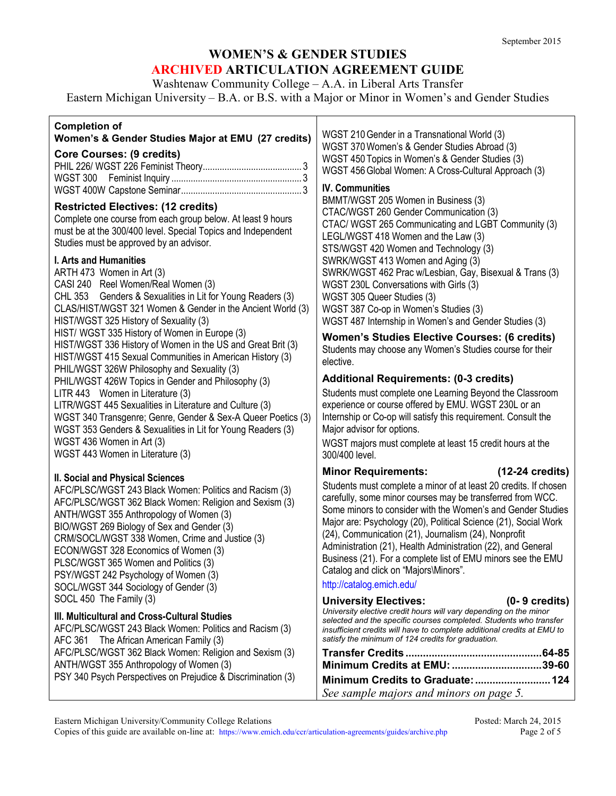Washtenaw Community College – A.A. in Liberal Arts Transfer

Eastern Michigan University – B.A. or B.S. with a Major or Minor in Women's and Gender Studies

Τ

## **Completion of**

| <b>Completion of</b><br>Women's & Gender Studies Major at EMU (27 credits)                                                                                                                                                                                                                                                                                                                                                                                                                                                                                                                                                                                                                                                                                                                                                                             | WGST 210 Gender in a Transnational World (3)                                                                                                                                                                                                                                                                                                                                                                                                                                                                                                                                              |  |
|--------------------------------------------------------------------------------------------------------------------------------------------------------------------------------------------------------------------------------------------------------------------------------------------------------------------------------------------------------------------------------------------------------------------------------------------------------------------------------------------------------------------------------------------------------------------------------------------------------------------------------------------------------------------------------------------------------------------------------------------------------------------------------------------------------------------------------------------------------|-------------------------------------------------------------------------------------------------------------------------------------------------------------------------------------------------------------------------------------------------------------------------------------------------------------------------------------------------------------------------------------------------------------------------------------------------------------------------------------------------------------------------------------------------------------------------------------------|--|
| <b>Core Courses: (9 credits)</b>                                                                                                                                                                                                                                                                                                                                                                                                                                                                                                                                                                                                                                                                                                                                                                                                                       | WGST 370 Women's & Gender Studies Abroad (3)<br>WGST 450 Topics in Women's & Gender Studies (3)<br>WGST 456 Global Women: A Cross-Cultural Approach (3)                                                                                                                                                                                                                                                                                                                                                                                                                                   |  |
| <b>Restricted Electives: (12 credits)</b><br>Complete one course from each group below. At least 9 hours<br>must be at the 300/400 level. Special Topics and Independent<br>Studies must be approved by an advisor.                                                                                                                                                                                                                                                                                                                                                                                                                                                                                                                                                                                                                                    | <b>IV. Communities</b><br>BMMT/WGST 205 Women in Business (3)<br>CTAC/WGST 260 Gender Communication (3)<br>CTAC/ WGST 265 Communicating and LGBT Community (3)<br>LEGL/WGST 418 Women and the Law (3)                                                                                                                                                                                                                                                                                                                                                                                     |  |
| <b>I. Arts and Humanities</b><br>ARTH 473 Women in Art (3)<br>CASI 240 Reel Women/Real Women (3)<br>CHL 353 Genders & Sexualities in Lit for Young Readers (3)<br>CLAS/HIST/WGST 321 Women & Gender in the Ancient World (3)<br>HIST/WGST 325 History of Sexuality (3)<br>HIST/ WGST 335 History of Women in Europe (3)<br>HIST/WGST 336 History of Women in the US and Great Brit (3)<br>HIST/WGST 415 Sexual Communities in American History (3)<br>PHIL/WGST 326W Philosophy and Sexuality (3)<br>PHIL/WGST 426W Topics in Gender and Philosophy (3)<br>LITR 443 Women in Literature (3)<br>LITR/WGST 445 Sexualities in Literature and Culture (3)<br>WGST 340 Transgenre; Genre, Gender & Sex-A Queer Poetics (3)<br>WGST 353 Genders & Sexualities in Lit for Young Readers (3)<br>WGST 436 Women in Art (3)<br>WGST 443 Women in Literature (3) | STS/WGST 420 Women and Technology (3)<br>SWRK/WGST 413 Women and Aging (3)<br>SWRK/WGST 462 Prac w/Lesbian, Gay, Bisexual & Trans (3)<br>WGST 230L Conversations with Girls (3)<br>WGST 305 Queer Studies (3)<br>WGST 387 Co-op in Women's Studies (3)<br>WGST 487 Internship in Women's and Gender Studies (3)                                                                                                                                                                                                                                                                           |  |
|                                                                                                                                                                                                                                                                                                                                                                                                                                                                                                                                                                                                                                                                                                                                                                                                                                                        | <b>Women's Studies Elective Courses: (6 credits)</b><br>Students may choose any Women's Studies course for their<br>elective.                                                                                                                                                                                                                                                                                                                                                                                                                                                             |  |
|                                                                                                                                                                                                                                                                                                                                                                                                                                                                                                                                                                                                                                                                                                                                                                                                                                                        | <b>Additional Requirements: (0-3 credits)</b><br>Students must complete one Learning Beyond the Classroom<br>experience or course offered by EMU. WGST 230L or an<br>Internship or Co-op will satisfy this requirement. Consult the<br>Major advisor for options.<br>WGST majors must complete at least 15 credit hours at the<br>300/400 level.                                                                                                                                                                                                                                          |  |
| II. Social and Physical Sciences<br>AFC/PLSC/WGST 243 Black Women: Politics and Racism (3)<br>AFC/PLSC/WGST 362 Black Women: Religion and Sexism (3)<br>ANTH/WGST 355 Anthropology of Women (3)<br>BIO/WGST 269 Biology of Sex and Gender (3)<br>CRM/SOCL/WGST 338 Women, Crime and Justice (3)<br>ECON/WGST 328 Economics of Women (3)<br>PLSC/WGST 365 Women and Politics (3)<br>PSY/WGST 242 Psychology of Women (3)<br>SOCL/WGST 344 Sociology of Gender (3)                                                                                                                                                                                                                                                                                                                                                                                       | $(12-24 \text{ credits})$<br><b>Minor Requirements:</b><br>Students must complete a minor of at least 20 credits. If chosen<br>carefully, some minor courses may be transferred from WCC.<br>Some minors to consider with the Women's and Gender Studies<br>Major are: Psychology (20), Political Science (21), Social Work<br>(24), Communication (21), Journalism (24), Nonprofit<br>Administration (21), Health Administration (22), and General<br>Business (21). For a complete list of EMU minors see the EMU<br>Catalog and click on "Majors\Minors".<br>http://catalog.emich.edu/ |  |
| SOCL 450 The Family (3)<br>III. Multicultural and Cross-Cultural Studies<br>AFC/PLSC/WGST 243 Black Women: Politics and Racism (3)<br>AFC 361 The African American Family (3)                                                                                                                                                                                                                                                                                                                                                                                                                                                                                                                                                                                                                                                                          | <b>University Electives:</b><br>$(0 - 9 \text{ credits})$<br>University elective credit hours will vary depending on the minor<br>selected and the specific courses completed. Students who transfer<br>insufficient credits will have to complete additional credits at EMU to<br>satisfy the minimum of 124 credits for graduation.                                                                                                                                                                                                                                                     |  |
| AFC/PLSC/WGST 362 Black Women: Religion and Sexism (3)<br>ANTH/WGST 355 Anthropology of Women (3)                                                                                                                                                                                                                                                                                                                                                                                                                                                                                                                                                                                                                                                                                                                                                      | Minimum Credits at EMU: 39-60                                                                                                                                                                                                                                                                                                                                                                                                                                                                                                                                                             |  |
| PSY 340 Psych Perspectives on Prejudice & Discrimination (3)                                                                                                                                                                                                                                                                                                                                                                                                                                                                                                                                                                                                                                                                                                                                                                                           | See sample majors and minors on page 5.                                                                                                                                                                                                                                                                                                                                                                                                                                                                                                                                                   |  |

Eastern Michigan University/Community College Relations Posted: March 24, 2015<br>Copies of this guide are available on-line at: https://www.emich.edu/ccr/articulation-agreements/guides/archive.php Page 2 of 5 Copies of this guide are available on-line at:<https://www.emich.edu/ccr/articulation-agreements/guides/archive.php>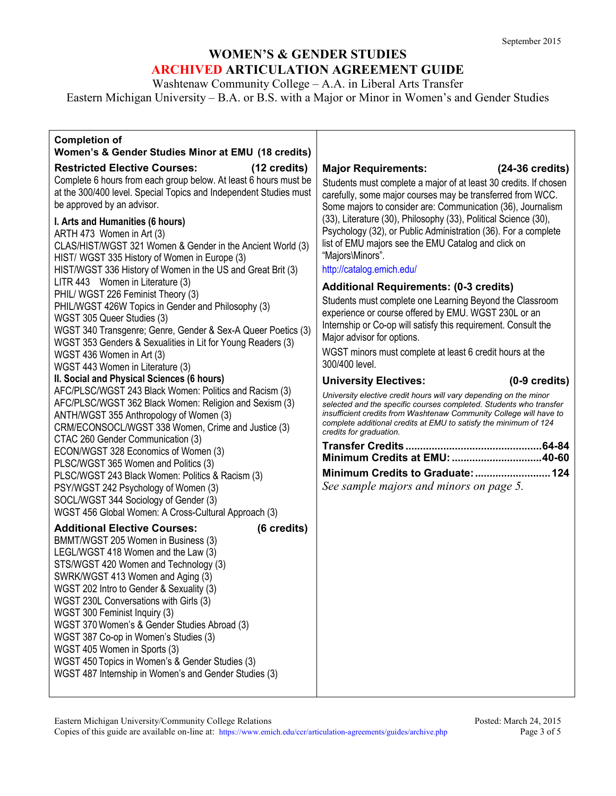Washtenaw Community College – A.A. in Liberal Arts Transfer

Eastern Michigan University – B.A. or B.S. with a Major or Minor in Women's and Gender Studies

#### **Completion of**

### **Women's & Gender Studies Minor at EMU (18 credits) Restricted Elective Courses: (12 credits)** Complete 6 hours from each group below. At least 6 hours must be at the 300/400 level. Special Topics and Independent Studies must be approved by an advisor. **I. Arts and Humanities (6 hours)** ARTH 473 Women in Art (3) CLAS/HIST/WGST 321 Women & Gender in the Ancient World (3) HIST/ WGST 335 History of Women in Europe (3) HIST/WGST 336 History of Women in the US and Great Brit (3) LITR 443 Women in Literature (3) PHIL/ WGST 226 Feminist Theory (3) PHIL/WGST 426W Topics in Gender and Philosophy (3) WGST 305 Queer Studies (3) WGST 340 [Transgenre; Genre, Gender](http://catalog.emich.edu/preview_program.php?catoid=16&poid=7670&returnto=2487) & Sex-A Queer Poetics (3) WGST 353 [Genders & Sexualities in Lit](http://catalog.emich.edu/preview_program.php?catoid=16&poid=7670&returnto=2487) for Young Readers (3) WGST 436 [Women in Art \(](http://catalog.emich.edu/preview_program.php?catoid=16&poid=7670&returnto=2487)3) WGST 443 [Women in Literature \(](http://catalog.emich.edu/preview_program.php?catoid=16&poid=7670&returnto=2487)3) **II. Social and Physical Sciences (6 hours)** AFC/PLSC/WGST 243 Black Women: Politics and Racism (3) [AFC/PLSC/WGST 362 Black Women: Religion and Sexism](http://catalog.emich.edu/preview_program.php?catoid=16&poid=7670&returnto=2487) (3) [ANTH/WGST 355 Anthropology of Women \(](http://catalog.emich.edu/preview_program.php?catoid=16&poid=7670&returnto=2487)3) [CRM/ECONSOCL/WGST 338 Women, Crime and Justice \(](http://catalog.emich.edu/preview_program.php?catoid=16&poid=7670&returnto=2487)3) CTAC 260 Gender Communication (3) [ECON/WGST 328 Economics of Women \(](http://catalog.emich.edu/preview_program.php?catoid=16&poid=7670&returnto=2487)3) [PLSC/WGST 365 Women and Politics \(](http://catalog.emich.edu/preview_program.php?catoid=16&poid=7670&returnto=2487)3) PLSC/WGST 243 Black Women: Politics & Racism (3) [PSY/WGST 242 Psychology of Women \(](http://catalog.emich.edu/preview_program.php?catoid=16&poid=7670&returnto=2487)3) [SOCL/WGST 344 Sociology of Gender \(](http://catalog.emich.edu/preview_program.php?catoid=16&poid=7670&returnto=2487)3) [WGST 456 Global Women: A Cross-Cultural Approach](http://catalog.emich.edu/preview_program.php?catoid=16&poid=7670&returnto=2487) (3) **Additional Elective Courses: (6 credits)**

BMMT/WGST 205 Women in Business (3) LEGL/WGST 418 Women and the Law (3) STS/WGST 420 Women and Technology (3) SWRK/WGST 413 Women and Aging (3) WGST 202 Intro to Gender & Sexuality (3) WGST 230L Conversations with Girls (3) WGST 300 Feminist Inquiry (3) WGST 370Women's & Gender Studies Abroad (3) WGST 387 Co-op in Women's Studies (3) WGST 405 Women in Sports (3) WGST 450 Topics in Women's & Gender Studies (3) WGST 487 Internship in Women's and Gender Studies (3)

### **Major Requirements: (24-36 credits)**

 Students must complete a major of at least 30 credits. If chosen carefully, some major courses may be transferred from WCC. Some majors to consider are: Communication (36), Journalism (33), Literature (30), Philosophy (33), Political Science (30), Psychology (32), or Public Administration (36). For a complete list of EMU majors see the EMU Catalog and click on "Majors\Minors".

<http://catalog.emich.edu/>

## **Additional Requirements: (0-3 credits)**

Students must complete one Learning Beyond the Classroom experience or course offered by EMU. WGST 230L or an Internship or Co-op will satisfy this requirement. Consult the Major advisor for options.

WGST minors must complete at least 6 credit hours at the 300/400 level.

#### **University Electives: (0-9 credits)**

*University elective credit hours will vary depending on the minor selected and the specific courses completed. Students who transfer insufficient credits from Washtenaw Community College will have to complete additional credits at EMU to satisfy the minimum of 124 credits for graduation.*

| Minimum Credits to Graduate:  124 |  |
|-----------------------------------|--|

*See sample majors and minors on page 5.*

Eastern Michigan University/Community College Relations Posted: March 24, 2015 Copies of this guide are available on-line at:<https://www.emich.edu/ccr/articulation-agreements/guides/archive.php> Page 3 of 5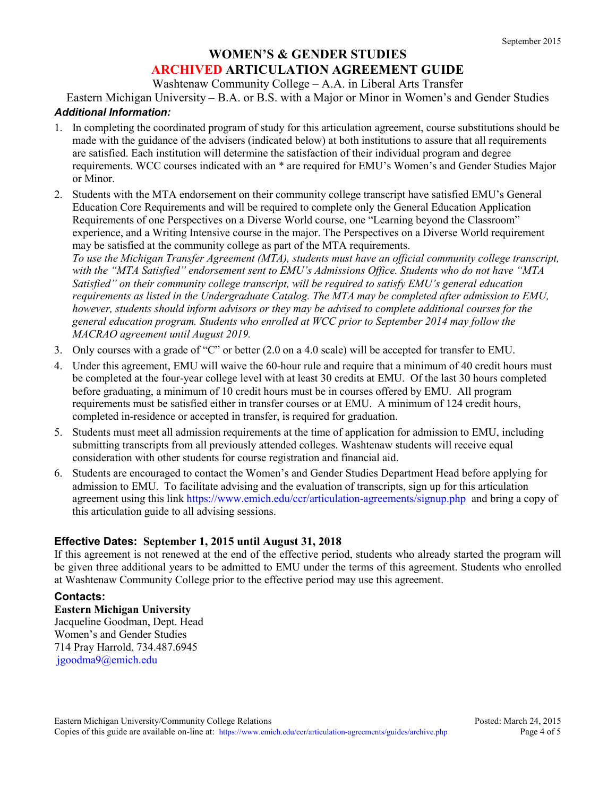Washtenaw Community College – A.A. in Liberal Arts Transfer

Eastern Michigan University – B.A. or B.S. with a Major or Minor in Women's and Gender Studies

## *Additional Information:*

- 1. In completing the coordinated program of study for this articulation agreement, course substitutions should be made with the guidance of the advisers (indicated below) at both institutions to assure that all requirements are satisfied. Each institution will determine the satisfaction of their individual program and degree requirements. WCC courses indicated with an \* are required for EMU's Women's and Gender Studies Major or Minor.
- 2. Students with the MTA endorsement on their community college transcript have satisfied EMU's General Education Core Requirements and will be required to complete only the General Education Application Requirements of one Perspectives on a Diverse World course, one "Learning beyond the Classroom" experience, and a Writing Intensive course in the major. The Perspectives on a Diverse World requirement may be satisfied at the community college as part of the MTA requirements.

*To use the Michigan Transfer Agreement (MTA), students must have an official community college transcript, with the "MTA Satisfied" endorsement sent to EMU's Admissions Office. Students who do not have "MTA Satisfied" on their community college transcript, will be required to satisfy EMU's general education requirements as listed in the Undergraduate Catalog. The MTA may be completed after admission to EMU, however, students should inform advisors or they may be advised to complete additional courses for the general education program. Students who enrolled at WCC prior to September 2014 may follow the MACRAO agreement until August 2019.*

- 3. Only courses with a grade of "C" or better (2.0 on a 4.0 scale) will be accepted for transfer to EMU.
- 4. Under this agreement, EMU will waive the 60-hour rule and require that a minimum of 40 credit hours must be completed at the four-year college level with at least 30 credits at EMU. Of the last 30 hours completed before graduating, a minimum of 10 credit hours must be in courses offered by EMU. All program requirements must be satisfied either in transfer courses or at EMU. A minimum of 124 credit hours, completed in-residence or accepted in transfer, is required for graduation.
- 5. Students must meet all admission requirements at the time of application for admission to EMU, including submitting transcripts from all previously attended colleges. Washtenaw students will receive equal consideration with other students for course registration and financial aid.
- 6. Students are encouraged to contact the Women's and Gender Studies Department Head before applying for admission to EMU. To facilitate advising and the evaluation of transcripts, sign up for this articulation agreement using this link<https://www.emich.edu/ccr/articulation-agreements/signup.php> and bring a copy of this articulation guide to all advising sessions.

## **Effective Dates: September 1, 2015 until August 31, 2018**

If this agreement is not renewed at the end of the effective period, students who already started the program will be given three additional years to be admitted to EMU under the terms of this agreement. Students who enrolled at Washtenaw Community College prior to the effective period may use this agreement.

## **Contacts:**

**Eastern Michigan University** Jacqueline Goodman, Dept. Head Women's and Gender Studies 714 Pray Harrold, 734.487.6945 [jgoodma9@emich.edu](mailto:jgoodma9@emich.edu)